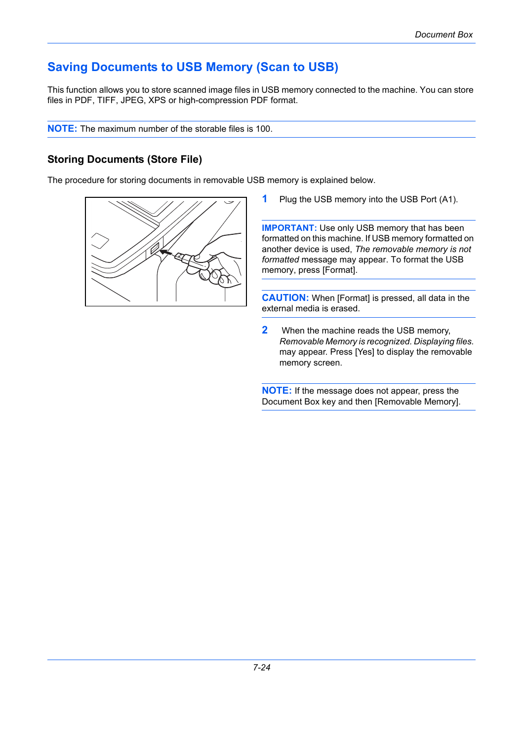## **Saving Documents to USB Memory (Scan to USB)**

This function allows you to store scanned image files in USB memory connected to the machine. You can store files in PDF, TIFF, JPEG, XPS or high-compression PDF format.

**NOTE:** The maximum number of the storable files is 100.

## **Storing Documents (Store File)**

The procedure for storing documents in removable USB memory is explained below.



**1** Plug the USB memory into the USB Port (A1).

**IMPORTANT:** Use only USB memory that has been formatted on this machine. If USB memory formatted on another device is used, *The removable memory is not formatted* message may appear. To format the USB memory, press [Format].

**CAUTION:** When [Format] is pressed, all data in the external media is erased.

**2** When the machine reads the USB memory, *Removable Memory is recognized. Displaying files.* may appear. Press [Yes] to display the removable memory screen.

**NOTE:** If the message does not appear, press the Document Box key and then [Removable Memory].